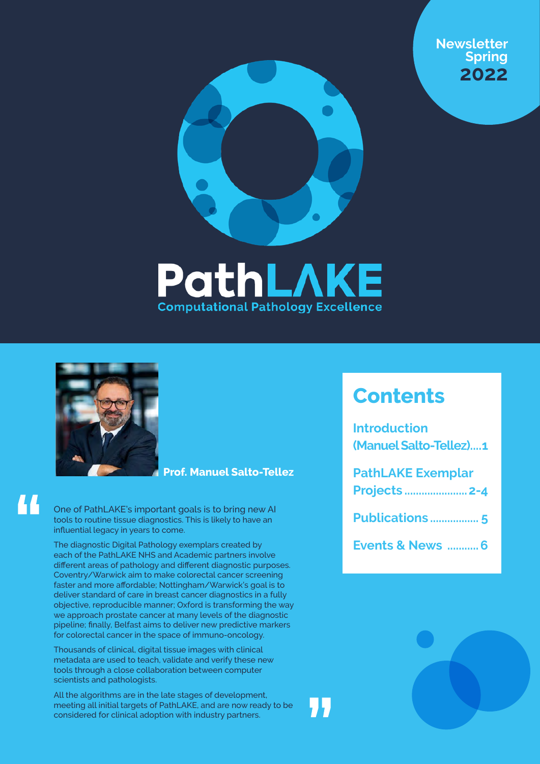







44

#### **Prof. Manuel Salto-Tellez**

One of PathLAKE's important goals is to bring new AI tools to routine tissue diagnostics. This is likely to have an influential legacy in years to come.

The diagnostic Digital Pathology exemplars created by each of the PathLAKE NHS and Academic partners involve different areas of pathology and different diagnostic purposes. Coventry/Warwick aim to make colorectal cancer screening faster and more affordable; Nottingham/Warwick's goal is to deliver standard of care in breast cancer diagnostics in a fully objective, reproducible manner; Oxford is transforming the way we approach prostate cancer at many levels of the diagnostic pipeline; finally, Belfast aims to deliver new predictive markers for colorectal cancer in the space of immuno-oncology.

Thousands of clinical, digital tissue images with clinical metadata are used to teach, validate and verify these new tools through a close collaboration between computer scientists and pathologists.

All the algorithms are in the late stages of development, meeting all initial targets of PathLAKE, and are now ready to be considered for clinical adoption with industry partners.

### **Contents**

| <b>Introduction</b><br>(Manuel Salto-Tellez)1    |
|--------------------------------------------------|
| <b>PathLAKE Exemplar</b><br><b>Projects  2-4</b> |
|                                                  |
| <b>Events &amp; News  6</b>                      |

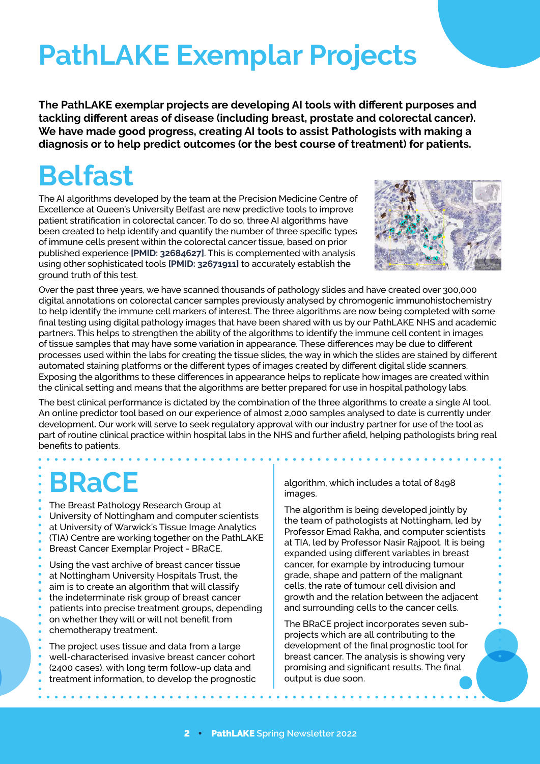### **PathLAKE Exemplar Projects**

**The PathLAKE exemplar projects are developing AI tools with different purposes and tackling different areas of disease (including breast, prostate and colorectal cancer). We have made good progress, creating AI tools to assist Pathologists with making a diagnosis or to help predict outcomes (or the best course of treatment) for patients.** 

### **Belfast**

The AI algorithms developed by the team at the Precision Medicine Centre of Excellence at Queen's University Belfast are new predictive tools to improve patient stratification in colorectal cancer. To do so, three AI algorithms have been created to help identify and quantify the number of three specific types of immune cells present within the colorectal cancer tissue, based on prior published experience **[[PMID: 32684627](https://pubmed.ncbi.nlm.nih.gov/32684627/)]**. This is complemented with analysis using other sophisticated tools **[[PMID: 32671911](https://pubmed.ncbi.nlm.nih.gov/32671911/)]** to accurately establish the ground truth of this test.



Over the past three years, we have scanned thousands of pathology slides and have created over 300,000 digital annotations on colorectal cancer samples previously analysed by chromogenic immunohistochemistry to help identify the immune cell markers of interest. The three algorithms are now being completed with some final testing using digital pathology images that have been shared with us by our PathLAKE NHS and academic partners. This helps to strengthen the ability of the algorithms to identify the immune cell content in images of tissue samples that may have some variation in appearance. These differences may be due to different processes used within the labs for creating the tissue slides, the way in which the slides are stained by different automated staining platforms or the different types of images created by different digital slide scanners. Exposing the algorithms to these differences in appearance helps to replicate how images are created within the clinical setting and means that the algorithms are better prepared for use in hospital pathology labs.

The best clinical performance is dictated by the combination of the three algorithms to create a single AI tool. An online predictor tool based on our experience of almost 2,000 samples analysed to date is currently under development. Our work will serve to seek regulatory approval with our industry partner for use of the tool as part of routine clinical practice within hospital labs in the NHS and further afield, helping pathologists bring real benefits to patients.

### **BRaCE**

The Breast Pathology Research Group at University of Nottingham and computer scientists at University of Warwick's Tissue Image Analytics (TIA) Centre are working together on the PathLAKE Breast Cancer Exemplar Project - BRaCE.

Using the vast archive of breast cancer tissue at Nottingham University Hospitals Trust, the aim is to create an algorithm that will classify the indeterminate risk group of breast cancer patients into precise treatment groups, depending on whether they will or will not benefit from chemotherapy treatment.

The project uses tissue and data from a large well-characterised invasive breast cancer cohort (2400 cases), with long term follow-up data and treatment information, to develop the prognostic

algorithm, which includes a total of 8498 images.

The algorithm is being developed jointly by the team of pathologists at Nottingham, led by Professor Emad Rakha, and computer scientists at TIA, led by Professor Nasir Rajpoot. It is being expanded using different variables in breast cancer, for example by introducing tumour grade, shape and pattern of the malignant cells, the rate of tumour cell division and growth and the relation between the adjacent and surrounding cells to the cancer cells.

The BRaCE project incorporates seven subprojects which are all contributing to the development of the final prognostic tool for breast cancer. The analysis is showing very promising and significant results. The final output is due soon.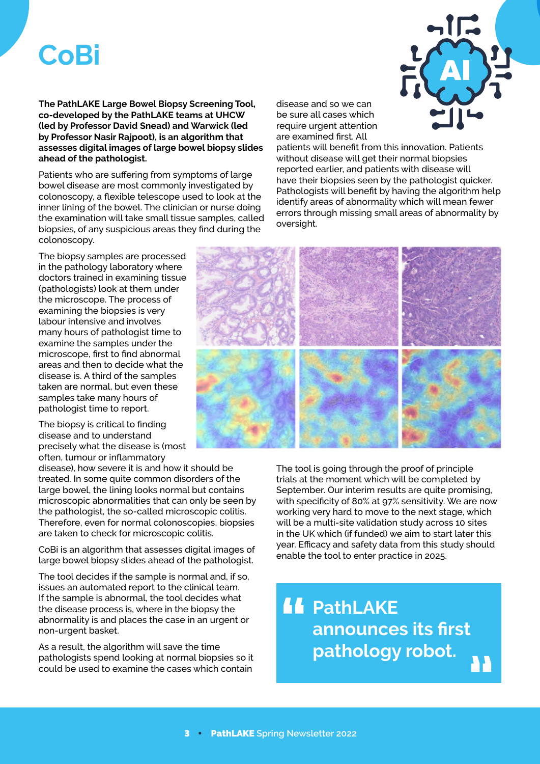### **CoBi**

**The PathLAKE Large Bowel Biopsy Screening Tool, co-developed by the PathLAKE teams at UHCW (led by Professor David Snead) and Warwick (led by Professor Nasir Rajpoot), is an algorithm that assesses digital images of large bowel biopsy slides ahead of the pathologist.** 

Patients who are suffering from symptoms of large bowel disease are most commonly investigated by colonoscopy, a flexible telescope used to look at the inner lining of the bowel. The clinician or nurse doing the examination will take small tissue samples, called biopsies, of any suspicious areas they find during the colonoscopy.

The biopsy samples are processed in the pathology laboratory where doctors trained in examining tissue (pathologists) look at them under the microscope. The process of examining the biopsies is very labour intensive and involves many hours of pathologist time to examine the samples under the microscope, first to find abnormal areas and then to decide what the disease is. A third of the samples taken are normal, but even these samples take many hours of pathologist time to report.

The biopsy is critical to finding disease and to understand precisely what the disease is (most often, tumour or inflammatory

disease), how severe it is and how it should be treated. In some quite common disorders of the large bowel, the lining looks normal but contains microscopic abnormalities that can only be seen by the pathologist, the so-called microscopic colitis. Therefore, even for normal colonoscopies, biopsies are taken to check for microscopic colitis.

CoBi is an algorithm that assesses digital images of large bowel biopsy slides ahead of the pathologist.

The tool decides if the sample is normal and, if so, issues an automated report to the clinical team. If the sample is abnormal, the tool decides what the disease process is, where in the biopsy the abnormality is and places the case in an urgent or non-urgent basket.

As a result, the algorithm will save the time pathologists spend looking at normal biopsies so it could be used to examine the cases which contain

disease and so we can be sure all cases which require urgent attention are examined first. All



patients will benefit from this innovation. Patients without disease will get their normal biopsies reported earlier, and patients with disease will have their biopsies seen by the pathologist quicker. Pathologists will benefit by having the algorithm help identify areas of abnormality which will mean fewer errors through missing small areas of abnormality by oversight.



The tool is going through the proof of principle trials at the moment which will be completed by September. Our interim results are quite promising, with specificity of 80% at 97% sensitivity. We are now working very hard to move to the next stage, which will be a multi-site validation study across 10 sites in the UK which (if funded) we aim to start later this year. Efficacy and safety data from this study should enable the tool to enter practice in 2025.

### *<u>A</u>* PathLAKE **announces its first pathology robot.** A)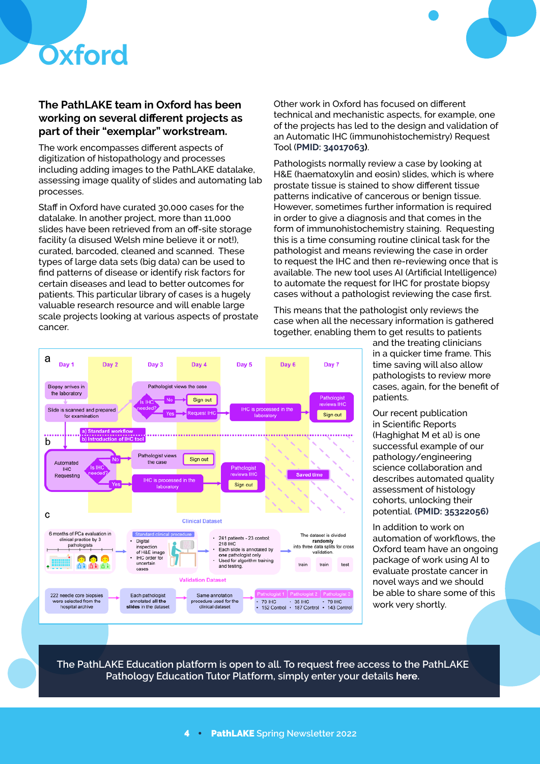

a

Day<sub>1</sub>

Day 2



#### **The PathLAKE team in Oxford has been working on several different projects as part of their "exemplar" workstream.**

The work encompasses different aspects of digitization of histopathology and processes including adding images to the PathLAKE datalake, assessing image quality of slides and automating lab processes.

Staff in Oxford have curated 30,000 cases for the datalake. In another project, more than 11,000 slides have been retrieved from an off-site storage facility (a disused Welsh mine believe it or not!), curated, barcoded, cleaned and scanned. These types of large data sets (big data) can be used to find patterns of disease or identify risk factors for certain diseases and lead to better outcomes for patients. This particular library of cases is a hugely valuable research resource and will enable large scale projects looking at various aspects of prostate cancer.

Day 3

Other work in Oxford has focused on different technical and mechanistic aspects, for example, one of the projects has led to the design and validation of an Automatic IHC (immunohistochemistry) Request Tool (**[PMID: 34017063](https://www.ncbi.nlm.nih.gov/pmc/articles/PMC8376647))**.

Pathologists normally review a case by looking at H&E (haematoxylin and eosin) slides, which is where prostate tissue is stained to show different tissue patterns indicative of cancerous or benign tissue. However, sometimes further information is required in order to give a diagnosis and that comes in the form of immunohistochemistry staining. Requesting this is a time consuming routine clinical task for the pathologist and means reviewing the case in order to request the IHC and then re-reviewing once that is available. The new tool uses AI (Artificial Intelligence) to automate the request for IHC for prostate biopsy cases without a pathologist reviewing the case first.

This means that the pathologist only reviews the case when all the necessary information is gathered together, enabling them to get results to patients



Our recent publication in Scientific Reports (Haghighat M et al) is one successful example of our pathology/engineering science collaboration and describes automated quality assessment of histology cohorts, unlocking their potential. **[\(PMID: 35322056\)](https://europepmc.org/article/MED/35322056)**

In addition to work on automation of workflows, the Oxford team have an ongoing package of work using AI to evaluate prostate cancer in novel ways and we should be able to share some of this work very shortly.

**The PathLAKE Education platform is open to all. To request free access to the PathLAKE Pathology Education Tutor Platform, simply enter your details [here](https://forms.office.com/r/fKaaM8iv0b).**



Day 4

Day 5

Day 6

Day 7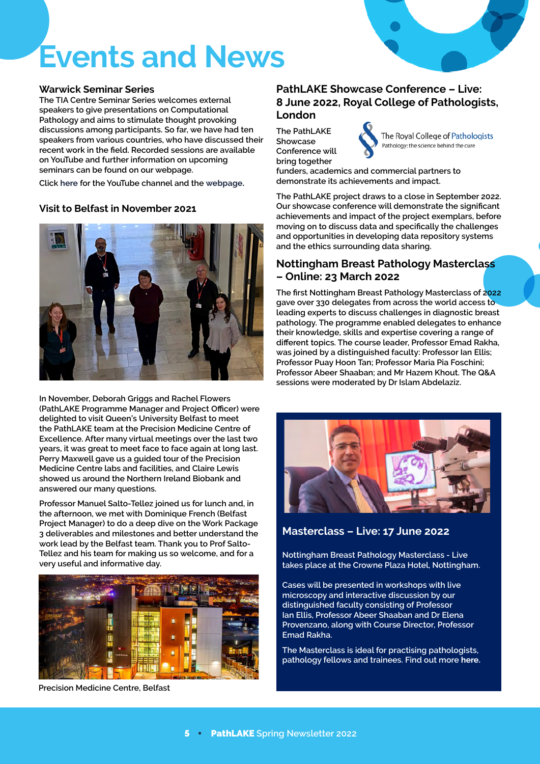

# **Events and News**

#### **Warwick Seminar Series**

**The TIA Centre Seminar Series welcomes external speakers to give presentations on Computational Pathology and aims to stimulate thought provoking discussions among participants. So far, we have had ten speakers from various countries, who have discussed their recent work in the field. Recorded sessions are available on YouTube and further information on upcoming seminars can be found on our webpage.**

**Click [here](https://youtube.com/playlist?list=PL33zGSM6CfFCN3gbUFfZ5S0R1HrnMQS7) for the YouTube channel and the [webpage.](https://warwick.ac.uk/TIA/seminars)**

#### **Visit to Belfast in November 2021**



**In November, Deborah Griggs and Rachel Flowers (PathLAKE Programme Manager and Project Officer) were delighted to visit Queen's University Belfast to meet the PathLAKE team at the Precision Medicine Centre of Excellence. After many virtual meetings over the last two years, it was great to meet face to face again at long last. Perry Maxwell gave us a guided tour of the Precision Medicine Centre labs and facilities, and Claire Lewis showed us around the Northern Ireland Biobank and answered our many questions.** 

**Professor Manuel Salto-Tellez joined us for lunch and, in the afternoon, we met with Dominique French (Belfast Project Manager) to do a deep dive on the Work Package 3 deliverables and milestones and better understand the work lead by the Belfast team. Thank you to Prof Salto-Tellez and his team for making us so welcome, and for a very useful and informative day.**



**Precision Medicine Centre, Belfast**

#### **PathLAKE Showcase Conference – Live: 8 June 2022, Royal College of Pathologists, London**

**The PathLAKE Showcase Conference will bring together** 

The Royal College of Pathologists<br>Pathology: the science behind the cure

**funders, academics and commercial partners to demonstrate its achievements and impact.**

**The PathLAKE project draws to a close in September 2022. Our showcase conference will demonstrate the significant achievements and impact of the project exemplars, before moving on to discuss data and specifically the challenges and opportunities in developing data repository systems and the ethics surrounding data sharing.**

#### **Nottingham Breast Pathology Masterclass – Online: 23 March 2022**

**The first Nottingham Breast Pathology Masterclass of 2022 gave over 330 delegates from across the world access to leading experts to discuss challenges in diagnostic breast pathology. The programme enabled delegates to enhance their knowledge, skills and expertise covering a range of different topics. The course leader, Professor Emad Rakha, was joined by a distinguished faculty: Professor Ian Ellis; Professor Puay Hoon Tan; Professor Maria Pia Foschini; Professor Abeer Shaaban; and Mr Hazem Khout. The Q&A sessions were moderated by Dr Islam Abdelaziz.**



**Masterclass – Live: 17 June 2022**

**Nottingham Breast Pathology Masterclass - Live takes place at the Crowne Plaza Hotel, Nottingham.**

**Cases will be presented in workshops with live microscopy and interactive discussion by our distinguished faculty consisting of Professor Ian Ellis, Professor Abeer Shaaban and Dr Elena Provenzano, along with Course Director, Professor Emad Rakha.**

**The Masterclass is ideal for practising pathologists, pathology fellows and trainees. Find out more [here.](https://nottinghambreastpathologymasterclass.com/live/)**